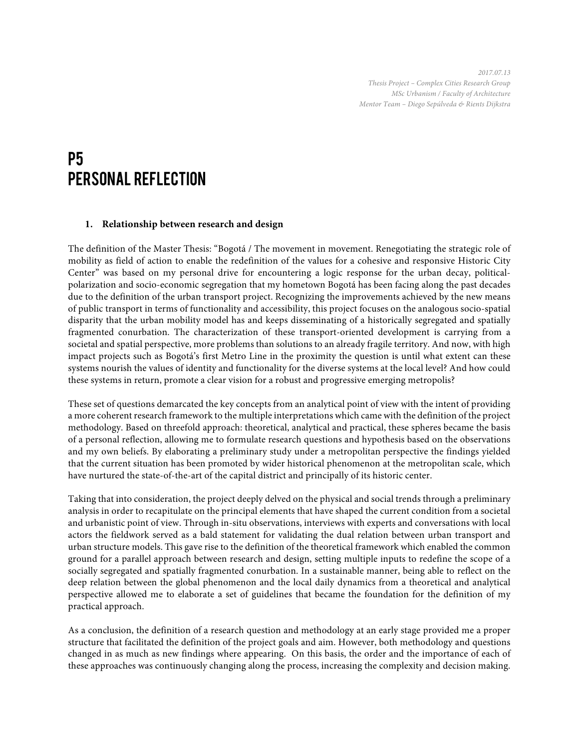*2017.07.13 Thesis Project – Complex Cities Research Group MSc Urbanism / Faculty of Architecture Mentor Team – Diego Sepúlveda & Rients Dijkstra*

# P5 Personal Reflection

## **1. Relationship between research and design**

The definition of the Master Thesis: "Bogotá / The movement in movement. Renegotiating the strategic role of mobility as field of action to enable the redefinition of the values for a cohesive and responsive Historic City Center" was based on my personal drive for encountering a logic response for the urban decay, politicalpolarization and socio-economic segregation that my hometown Bogotá has been facing along the past decades due to the definition of the urban transport project. Recognizing the improvements achieved by the new means of public transport in terms of functionality and accessibility, this project focuses on the analogous socio-spatial disparity that the urban mobility model has and keeps disseminating of a historically segregated and spatially fragmented conurbation. The characterization of these transport-oriented development is carrying from a societal and spatial perspective, more problems than solutions to an already fragile territory. And now, with high impact projects such as Bogotá's first Metro Line in the proximity the question is until what extent can these systems nourish the values of identity and functionality for the diverse systems at the local level? And how could these systems in return, promote a clear vision for a robust and progressive emerging metropolis?

These set of questions demarcated the key concepts from an analytical point of view with the intent of providing a more coherent research framework to the multiple interpretations which came with the definition of the project methodology. Based on threefold approach: theoretical, analytical and practical, these spheres became the basis of a personal reflection, allowing me to formulate research questions and hypothesis based on the observations and my own beliefs. By elaborating a preliminary study under a metropolitan perspective the findings yielded that the current situation has been promoted by wider historical phenomenon at the metropolitan scale, which have nurtured the state-of-the-art of the capital district and principally of its historic center.

Taking that into consideration, the project deeply delved on the physical and social trends through a preliminary analysis in order to recapitulate on the principal elements that have shaped the current condition from a societal and urbanistic point of view. Through in-situ observations, interviews with experts and conversations with local actors the fieldwork served as a bald statement for validating the dual relation between urban transport and urban structure models. This gave rise to the definition of the theoretical framework which enabled the common ground for a parallel approach between research and design, setting multiple inputs to redefine the scope of a socially segregated and spatially fragmented conurbation. In a sustainable manner, being able to reflect on the deep relation between the global phenomenon and the local daily dynamics from a theoretical and analytical perspective allowed me to elaborate a set of guidelines that became the foundation for the definition of my practical approach.

As a conclusion, the definition of a research question and methodology at an early stage provided me a proper structure that facilitated the definition of the project goals and aim. However, both methodology and questions changed in as much as new findings where appearing. On this basis, the order and the importance of each of these approaches was continuously changing along the process, increasing the complexity and decision making.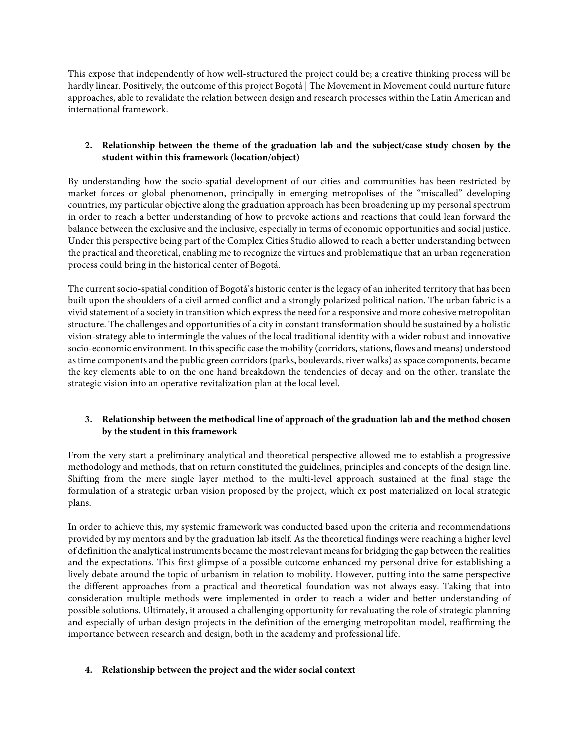This expose that independently of how well-structured the project could be; a creative thinking process will be hardly linear. Positively, the outcome of this project Bogotá | The Movement in Movement could nurture future approaches, able to revalidate the relation between design and research processes within the Latin American and international framework.

## **2. Relationship between the theme of the graduation lab and the subject/case study chosen by the student within this framework (location/object)**

By understanding how the socio-spatial development of our cities and communities has been restricted by market forces or global phenomenon, principally in emerging metropolises of the "miscalled" developing countries, my particular objective along the graduation approach has been broadening up my personal spectrum in order to reach a better understanding of how to provoke actions and reactions that could lean forward the balance between the exclusive and the inclusive, especially in terms of economic opportunities and social justice. Under this perspective being part of the Complex Cities Studio allowed to reach a better understanding between the practical and theoretical, enabling me to recognize the virtues and problematique that an urban regeneration process could bring in the historical center of Bogotá.

The current socio-spatial condition of Bogotá's historic center is the legacy of an inherited territory that has been built upon the shoulders of a civil armed conflict and a strongly polarized political nation. The urban fabric is a vivid statement of a society in transition which express the need for a responsive and more cohesive metropolitan structure. The challenges and opportunities of a city in constant transformation should be sustained by a holistic vision-strategy able to intermingle the values of the local traditional identity with a wider robust and innovative socio-economic environment. In this specific case the mobility (corridors, stations, flows and means) understood as time components and the public green corridors (parks, boulevards, river walks) as space components, became the key elements able to on the one hand breakdown the tendencies of decay and on the other, translate the strategic vision into an operative revitalization plan at the local level.

# **3. Relationship between the methodical line of approach of the graduation lab and the method chosen by the student in this framework**

From the very start a preliminary analytical and theoretical perspective allowed me to establish a progressive methodology and methods, that on return constituted the guidelines, principles and concepts of the design line. Shifting from the mere single layer method to the multi-level approach sustained at the final stage the formulation of a strategic urban vision proposed by the project, which ex post materialized on local strategic plans.

In order to achieve this, my systemic framework was conducted based upon the criteria and recommendations provided by my mentors and by the graduation lab itself. As the theoretical findings were reaching a higher level of definition the analytical instruments became the most relevant means for bridging the gap between the realities and the expectations. This first glimpse of a possible outcome enhanced my personal drive for establishing a lively debate around the topic of urbanism in relation to mobility. However, putting into the same perspective the different approaches from a practical and theoretical foundation was not always easy. Taking that into consideration multiple methods were implemented in order to reach a wider and better understanding of possible solutions. Ultimately, it aroused a challenging opportunity for revaluating the role of strategic planning and especially of urban design projects in the definition of the emerging metropolitan model, reaffirming the importance between research and design, both in the academy and professional life.

## **4. Relationship between the project and the wider social context**